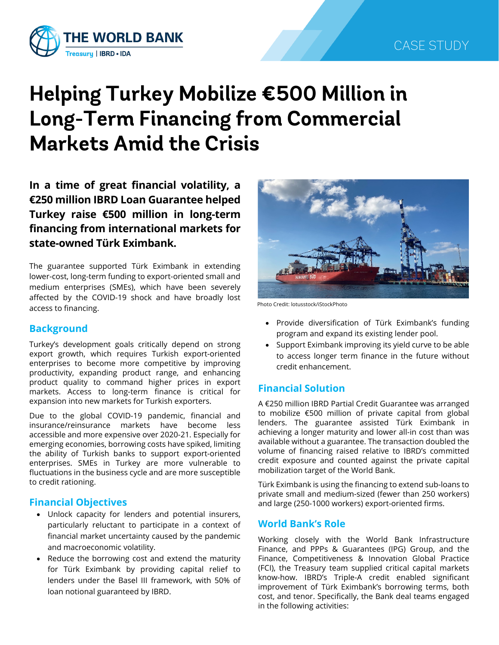

# **Helping Turkey Mobilize €500 Million in Long-Term Financing from Commercial Markets Amid the Crisis**

**In a time of great financial volatility, a €250 million IBRD Loan Guarantee helped Turkey raise €500 million in long-term financing from international markets for state-owned Türk Eximbank.**

The guarantee supported Türk Eximbank in extending lower-cost, long-term funding to export-oriented small and medium enterprises (SMEs), which have been severely affected by the COVID-19 shock and have broadly lost access to financing.

#### **Background**

Turkey's development goals critically depend on strong export growth, which requires Turkish export-oriented enterprises to become more competitive by improving productivity, expanding product range, and enhancing product quality to command higher prices in export markets. Access to long-term finance is critical for expansion into new markets for Turkish exporters.

Due to the global COVID-19 pandemic, financial and insurance/reinsurance markets have become less accessible and more expensive over 2020-21. Especially for emerging economies, borrowing costs have spiked, limiting the ability of Turkish banks to support export-oriented enterprises. SMEs in Turkey are more vulnerable to fluctuations in the business cycle and are more susceptible to credit rationing.

#### **Financial Objectives**

- Unlock capacity for lenders and potential insurers, particularly reluctant to participate in a context of financial market uncertainty caused by the pandemic and macroeconomic volatility.
- Reduce the borrowing cost and extend the maturity for Türk Eximbank by providing capital relief to lenders under the Basel III framework, with 50% of loan notional guaranteed by IBRD.



Photo Credit: lotusstock/iStockPhoto

- Provide diversification of Türk Eximbank's funding program and expand its existing lender pool.
- Support Eximbank improving its yield curve to be able to access longer term finance in the future without credit enhancement.

#### **Financial Solution**

A €250 million IBRD Partial Credit Guarantee was arranged to mobilize €500 million of private capital from global lenders. The guarantee assisted Türk Eximbank in achieving a longer maturity and lower all-in cost than was available without a guarantee. The transaction doubled the volume of financing raised relative to IBRD's committed credit exposure and counted against the private capital mobilization target of the World Bank.

Türk Eximbank is using the financing to extend sub-loans to private small and medium-sized (fewer than 250 workers) and large (250-1000 workers) export-oriented firms.

#### **World Bank's Role**

Working closely with the World Bank Infrastructure Finance, and PPPs & Guarantees (IPG) Group, and the Finance, Competitiveness & Innovation Global Practice (FCI), the Treasury team supplied critical capital markets know-how. IBRD's Triple-A credit enabled significant improvement of Türk Eximbank's borrowing terms, both cost, and tenor. Specifically, the Bank deal teams engaged in the following activities: